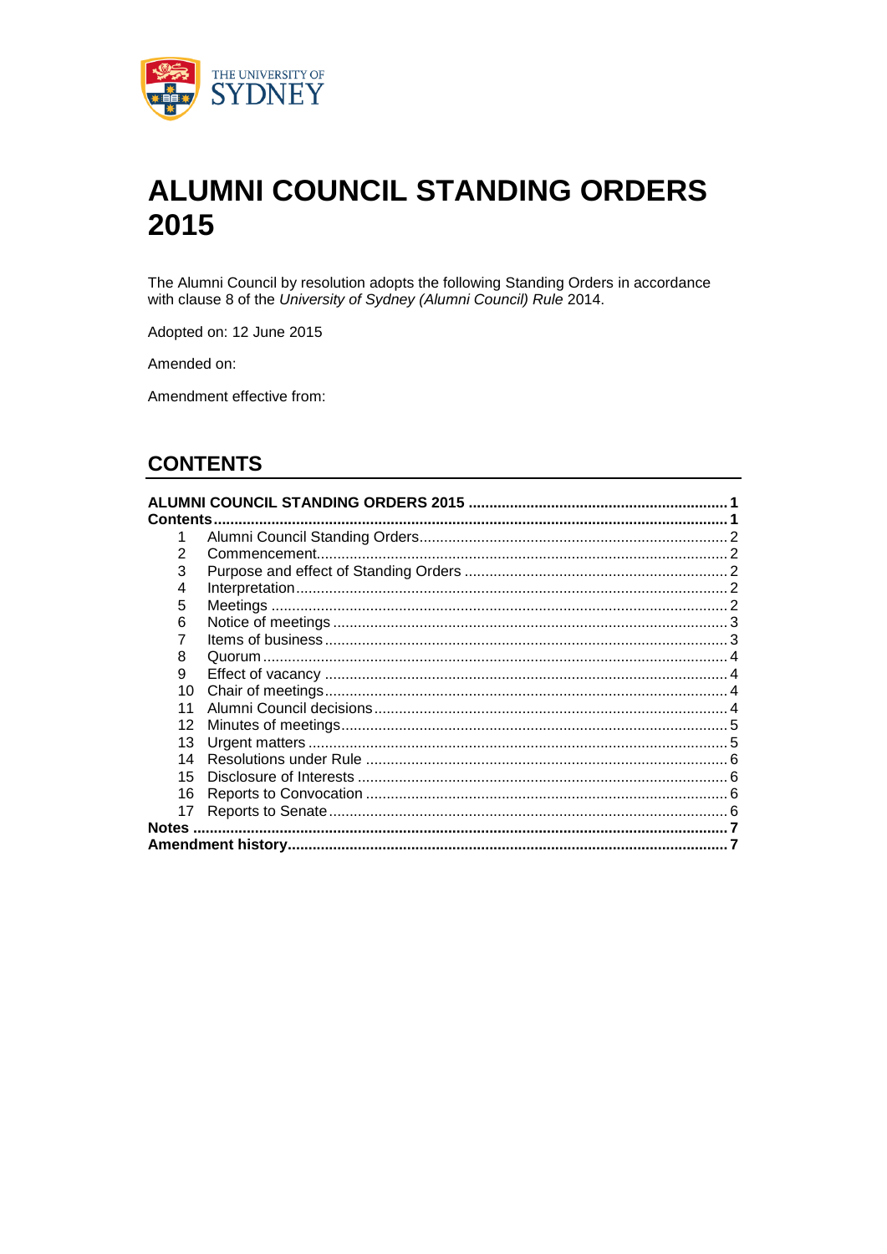

# **ALUMNI COUNCIL STANDING ORDERS** 2015

The Alumni Council by resolution adopts the following Standing Orders in accordance with clause 8 of the University of Sydney (Alumni Council) Rule 2014.

Adopted on: 12 June 2015

Amended on:

Amendment effective from:

# **CONTENTS**

| Contents.    |               |  |  |
|--------------|---------------|--|--|
|              |               |  |  |
| 2            | Commencement. |  |  |
| 3            |               |  |  |
| 4            |               |  |  |
| 5            |               |  |  |
| 6            |               |  |  |
|              |               |  |  |
| 8            |               |  |  |
| 9            |               |  |  |
| 10           |               |  |  |
| 11           |               |  |  |
| 12           |               |  |  |
| 13           |               |  |  |
| 14           |               |  |  |
| 15           |               |  |  |
| 16           |               |  |  |
| 17           |               |  |  |
| <b>Notes</b> |               |  |  |
|              |               |  |  |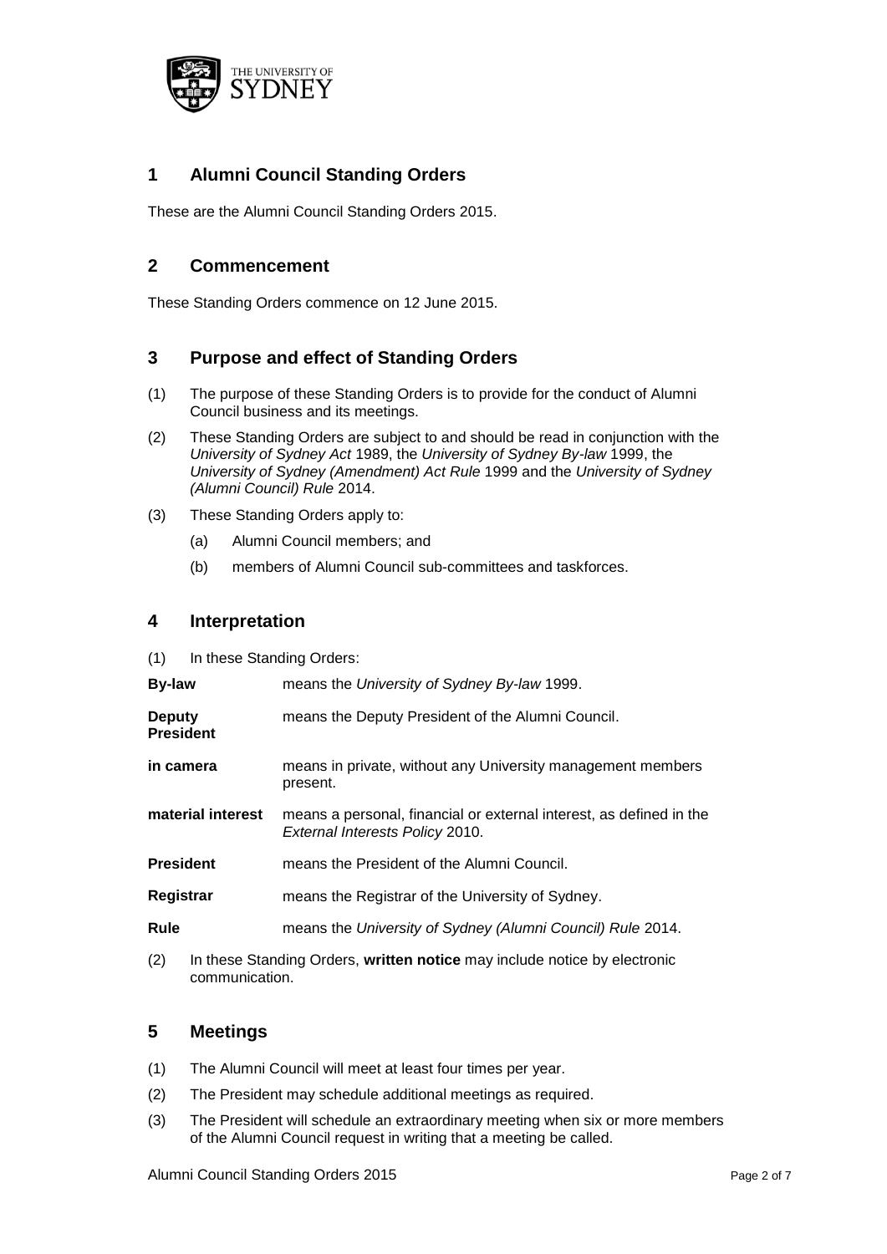

## **1 Alumni Council Standing Orders**

These are the Alumni Council Standing Orders 2015.

### **2 Commencement**

These Standing Orders commence on 12 June 2015.

## **3 Purpose and effect of Standing Orders**

- (1) The purpose of these Standing Orders is to provide for the conduct of Alumni Council business and its meetings.
- (2) These Standing Orders are subject to and should be read in conjunction with the *University of Sydney Act* 1989, the *University of Sydney By-law* 1999, the *University of Sydney (Amendment) Act Rule* 1999 and the *University of Sydney (Alumni Council) Rule* 2014.
- (3) These Standing Orders apply to:
	- (a) Alumni Council members; and
	- (b) members of Alumni Council sub-committees and taskforces.

#### **4 Interpretation**

(1) In these Standing Orders:

| <b>By-law</b>                     | means the University of Sydney By-law 1999.                                                                                                                                                                                                                    |
|-----------------------------------|----------------------------------------------------------------------------------------------------------------------------------------------------------------------------------------------------------------------------------------------------------------|
| <b>Deputy</b><br><b>President</b> | means the Deputy President of the Alumni Council.                                                                                                                                                                                                              |
| in camera                         | means in private, without any University management members<br>present.                                                                                                                                                                                        |
| material interest                 | means a personal, financial or external interest, as defined in the<br>External Interests Policy 2010.                                                                                                                                                         |
| <b>President</b>                  | means the President of the Alumni Council.                                                                                                                                                                                                                     |
| Registrar                         | means the Registrar of the University of Sydney.                                                                                                                                                                                                               |
| Rule                              | means the University of Sydney (Alumni Council) Rule 2014.                                                                                                                                                                                                     |
|                                   | $\langle 0 \rangle$ . The decay $\langle 0 \rangle$ is the $\langle 0 \rangle$ decay constraint of the second second contract of the second second second second second second second second second second second second second second second second second se |

(2) In these Standing Orders, **written notice** may include notice by electronic communication.

#### **5 Meetings**

- (1) The Alumni Council will meet at least four times per year.
- (2) The President may schedule additional meetings as required.
- (3) The President will schedule an extraordinary meeting when six or more members of the Alumni Council request in writing that a meeting be called.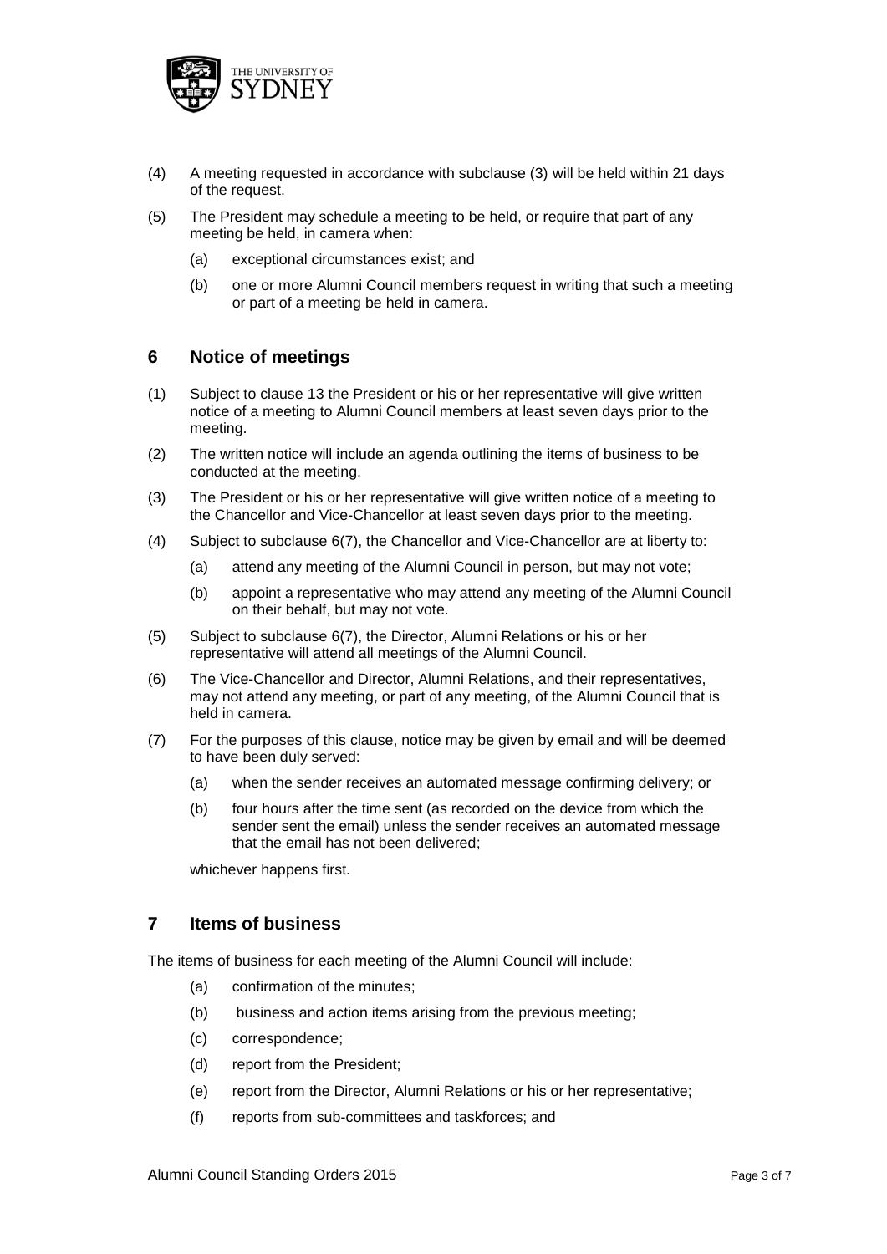

- (4) A meeting requested in accordance with subclause (3) will be held within 21 days of the request.
- (5) The President may schedule a meeting to be held, or require that part of any meeting be held, in camera when:
	- (a) exceptional circumstances exist; and
	- (b) one or more Alumni Council members request in writing that such a meeting or part of a meeting be held in camera.

#### **6 Notice of meetings**

- (1) Subject to clause 13 the President or his or her representative will give written notice of a meeting to Alumni Council members at least seven days prior to the meeting.
- (2) The written notice will include an agenda outlining the items of business to be conducted at the meeting.
- (3) The President or his or her representative will give written notice of a meeting to the Chancellor and Vice-Chancellor at least seven days prior to the meeting.
- (4) Subject to subclause 6(7), the Chancellor and Vice-Chancellor are at liberty to:
	- (a) attend any meeting of the Alumni Council in person, but may not vote;
	- (b) appoint a representative who may attend any meeting of the Alumni Council on their behalf, but may not vote.
- (5) Subject to subclause 6(7), the Director, Alumni Relations or his or her representative will attend all meetings of the Alumni Council.
- (6) The Vice-Chancellor and Director, Alumni Relations, and their representatives, may not attend any meeting, or part of any meeting, of the Alumni Council that is held in camera.
- (7) For the purposes of this clause, notice may be given by email and will be deemed to have been duly served:
	- (a) when the sender receives an automated message confirming delivery; or
	- (b) four hours after the time sent (as recorded on the device from which the sender sent the email) unless the sender receives an automated message that the email has not been delivered;

whichever happens first.

#### **7 Items of business**

The items of business for each meeting of the Alumni Council will include:

- (a) confirmation of the minutes;
- (b) business and action items arising from the previous meeting;
- (c) correspondence;
- (d) report from the President;
- (e) report from the Director, Alumni Relations or his or her representative;
- (f) reports from sub-committees and taskforces; and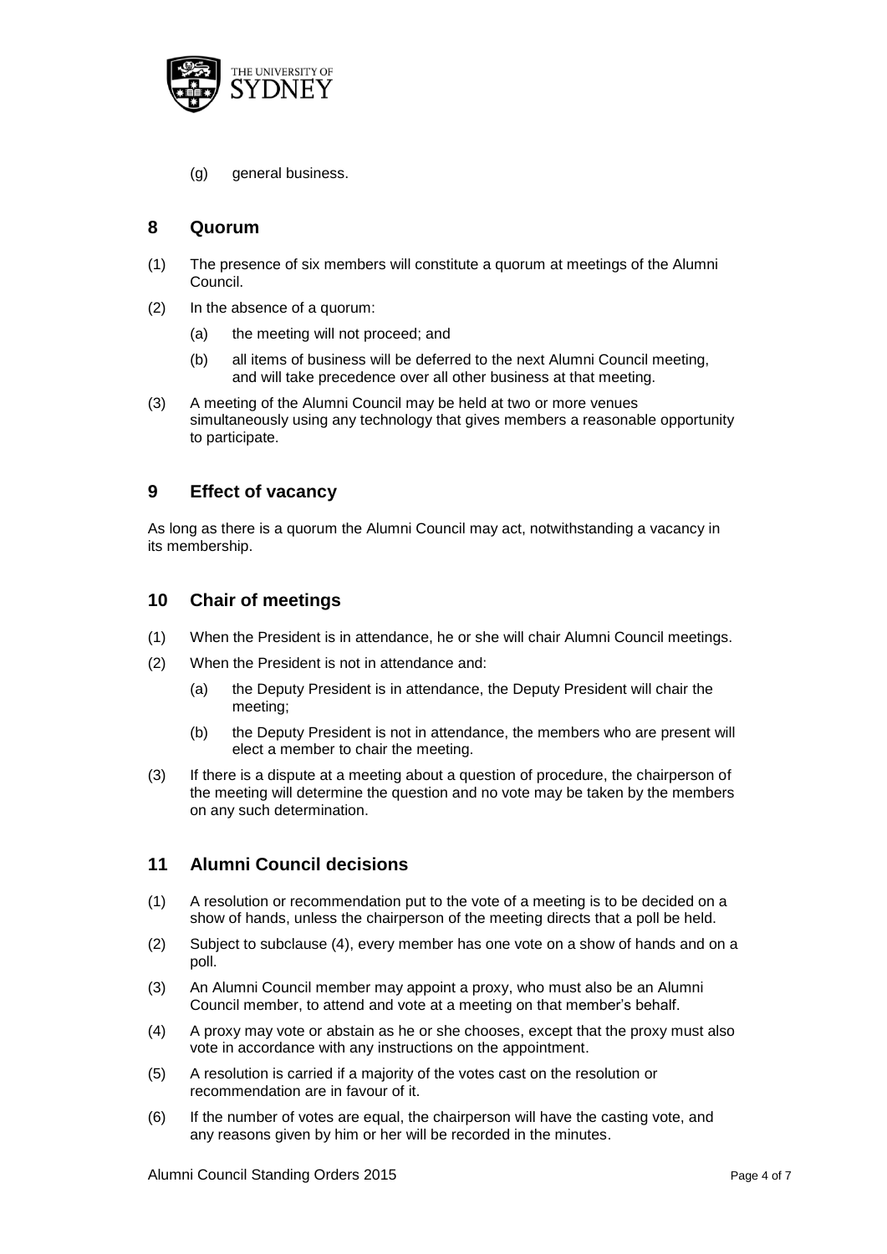

(g) general business.

#### **8 Quorum**

- (1) The presence of six members will constitute a quorum at meetings of the Alumni Council.
- (2) In the absence of a quorum:
	- (a) the meeting will not proceed; and
	- (b) all items of business will be deferred to the next Alumni Council meeting, and will take precedence over all other business at that meeting.
- (3) A meeting of the Alumni Council may be held at two or more venues simultaneously using any technology that gives members a reasonable opportunity to participate.

#### **9 Effect of vacancy**

As long as there is a quorum the Alumni Council may act, notwithstanding a vacancy in its membership.

#### **10 Chair of meetings**

- (1) When the President is in attendance, he or she will chair Alumni Council meetings.
- (2) When the President is not in attendance and:
	- (a) the Deputy President is in attendance, the Deputy President will chair the meeting;
	- (b) the Deputy President is not in attendance, the members who are present will elect a member to chair the meeting.
- (3) If there is a dispute at a meeting about a question of procedure, the chairperson of the meeting will determine the question and no vote may be taken by the members on any such determination.

#### **11 Alumni Council decisions**

- (1) A resolution or recommendation put to the vote of a meeting is to be decided on a show of hands, unless the chairperson of the meeting directs that a poll be held.
- (2) Subject to subclause (4), every member has one vote on a show of hands and on a poll.
- (3) An Alumni Council member may appoint a proxy, who must also be an Alumni Council member, to attend and vote at a meeting on that member's behalf.
- (4) A proxy may vote or abstain as he or she chooses, except that the proxy must also vote in accordance with any instructions on the appointment.
- (5) A resolution is carried if a majority of the votes cast on the resolution or recommendation are in favour of it.
- (6) If the number of votes are equal, the chairperson will have the casting vote, and any reasons given by him or her will be recorded in the minutes.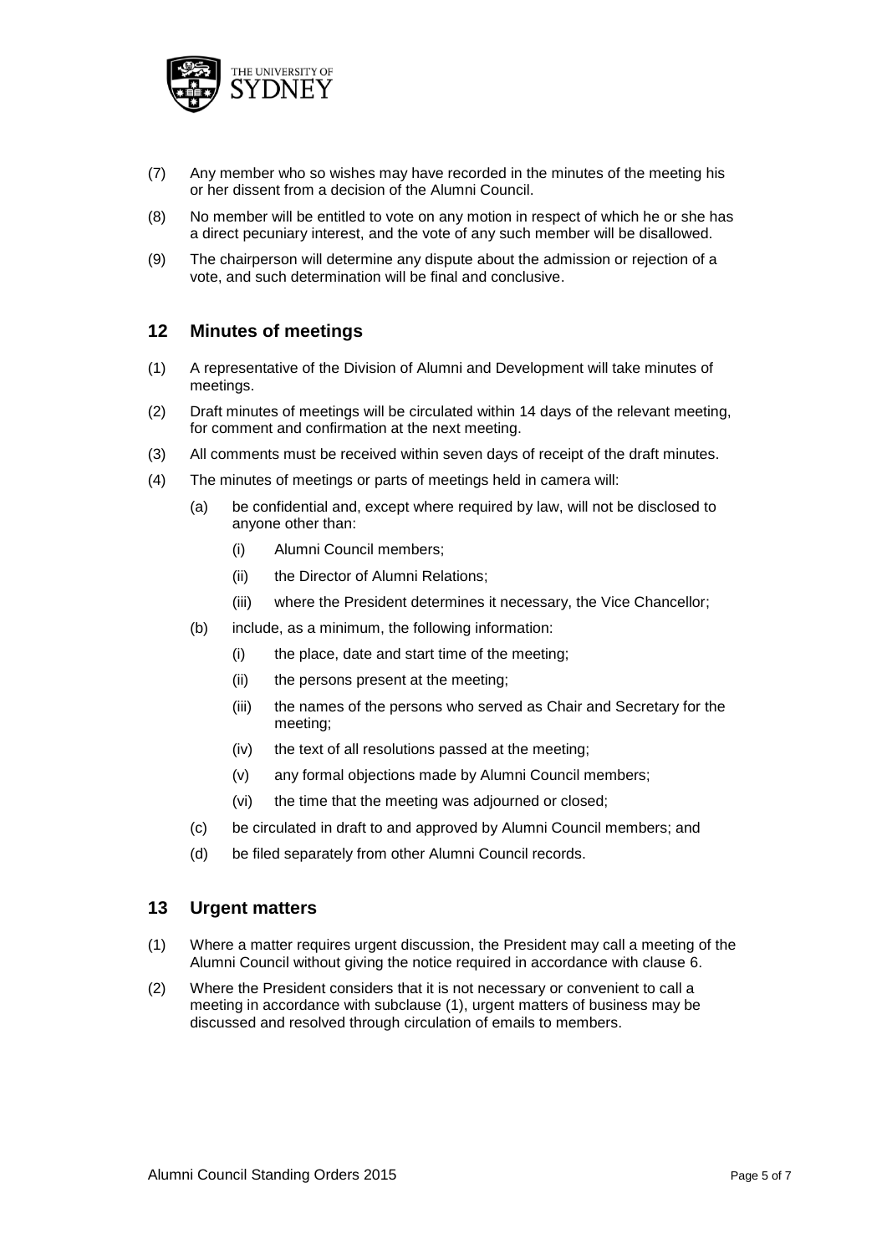

- (7) Any member who so wishes may have recorded in the minutes of the meeting his or her dissent from a decision of the Alumni Council.
- (8) No member will be entitled to vote on any motion in respect of which he or she has a direct pecuniary interest, and the vote of any such member will be disallowed.
- (9) The chairperson will determine any dispute about the admission or rejection of a vote, and such determination will be final and conclusive.

#### **12 Minutes of meetings**

- (1) A representative of the Division of Alumni and Development will take minutes of meetings.
- (2) Draft minutes of meetings will be circulated within 14 days of the relevant meeting, for comment and confirmation at the next meeting.
- (3) All comments must be received within seven days of receipt of the draft minutes.
- (4) The minutes of meetings or parts of meetings held in camera will:
	- (a) be confidential and, except where required by law, will not be disclosed to anyone other than:
		- (i) Alumni Council members;
		- (ii) the Director of Alumni Relations;
		- (iii) where the President determines it necessary, the Vice Chancellor;
	- (b) include, as a minimum, the following information:
		- (i) the place, date and start time of the meeting;
		- (ii) the persons present at the meeting;
		- (iii) the names of the persons who served as Chair and Secretary for the meeting;
		- (iv) the text of all resolutions passed at the meeting;
		- (v) any formal objections made by Alumni Council members;
		- (vi) the time that the meeting was adjourned or closed;
	- (c) be circulated in draft to and approved by Alumni Council members; and
	- (d) be filed separately from other Alumni Council records.

#### **13 Urgent matters**

- (1) Where a matter requires urgent discussion, the President may call a meeting of the Alumni Council without giving the notice required in accordance with clause 6.
- (2) Where the President considers that it is not necessary or convenient to call a meeting in accordance with subclause (1), urgent matters of business may be discussed and resolved through circulation of emails to members.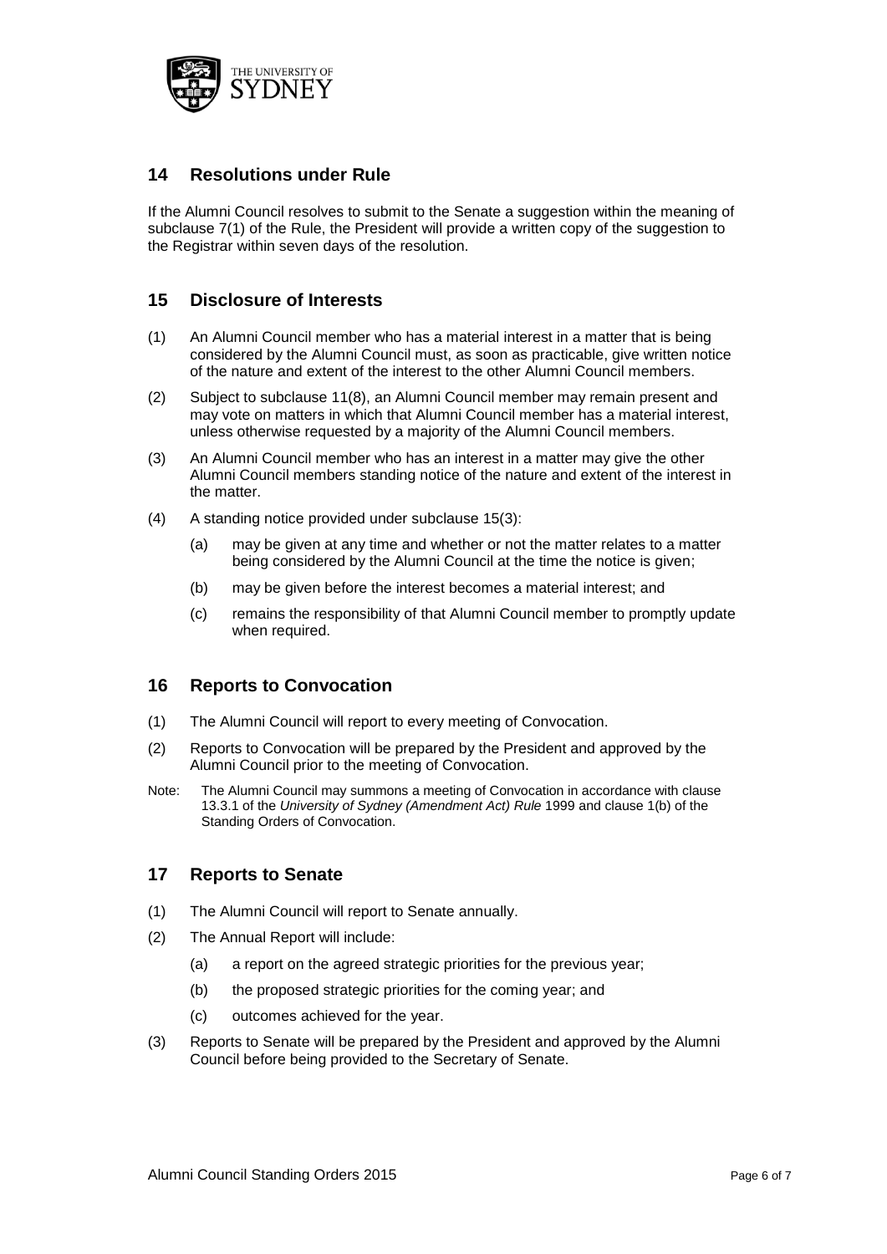

## **14 Resolutions under Rule**

If the Alumni Council resolves to submit to the Senate a suggestion within the meaning of subclause 7(1) of the Rule, the President will provide a written copy of the suggestion to the Registrar within seven days of the resolution.

#### **15 Disclosure of Interests**

- (1) An Alumni Council member who has a material interest in a matter that is being considered by the Alumni Council must, as soon as practicable, give written notice of the nature and extent of the interest to the other Alumni Council members.
- (2) Subject to subclause 11(8), an Alumni Council member may remain present and may vote on matters in which that Alumni Council member has a material interest, unless otherwise requested by a majority of the Alumni Council members.
- (3) An Alumni Council member who has an interest in a matter may give the other Alumni Council members standing notice of the nature and extent of the interest in the matter.
- (4) A standing notice provided under subclause 15(3):
	- (a) may be given at any time and whether or not the matter relates to a matter being considered by the Alumni Council at the time the notice is given;
	- (b) may be given before the interest becomes a material interest; and
	- (c) remains the responsibility of that Alumni Council member to promptly update when required.

#### **16 Reports to Convocation**

- (1) The Alumni Council will report to every meeting of Convocation.
- (2) Reports to Convocation will be prepared by the President and approved by the Alumni Council prior to the meeting of Convocation.
- Note: The Alumni Council may summons a meeting of Convocation in accordance with clause 13.3.1 of the *University of Sydney (Amendment Act) Rule* 1999 and clause 1(b) of the Standing Orders of Convocation.

#### **17 Reports to Senate**

- (1) The Alumni Council will report to Senate annually.
- (2) The Annual Report will include:
	- (a) a report on the agreed strategic priorities for the previous year;
	- (b) the proposed strategic priorities for the coming year; and
	- (c) outcomes achieved for the year.
- (3) Reports to Senate will be prepared by the President and approved by the Alumni Council before being provided to the Secretary of Senate.